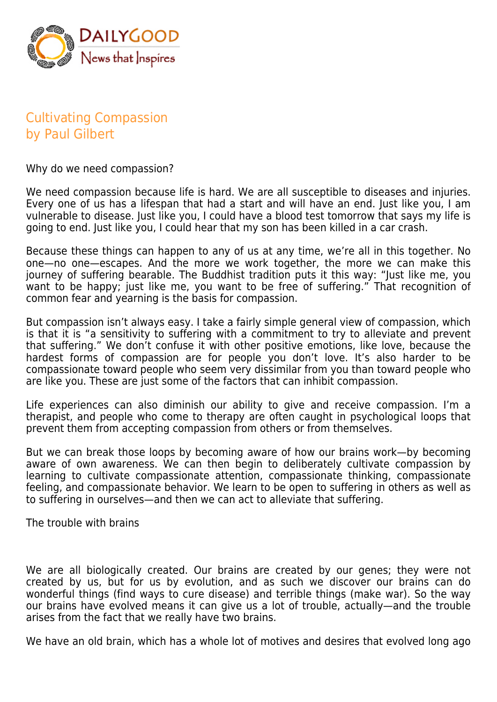

## Cultivating Compassion by Paul Gilbert

Why do we need compassion?

We need compassion because life is hard. We are all susceptible to diseases and injuries. Every one of us has a lifespan that had a start and will have an end. Just like you, I am vulnerable to disease. Just like you, I could have a blood test tomorrow that says my life is going to end. Just like you, I could hear that my son has been killed in a car crash.

Because these things can happen to any of us at any time, we're all in this together. No one—no one—escapes. And the more we work together, the more we can make this journey of suffering bearable. The Buddhist tradition puts it this way: "Just like me, you want to be happy; just like me, you want to be free of suffering." That recognition of common fear and yearning is the basis for compassion.

But compassion isn't always easy. I take a fairly simple general view of compassion, which is that it is "a sensitivity to suffering with a commitment to try to alleviate and prevent that suffering." We don't confuse it with other positive emotions, like love, because the hardest forms of compassion are for people you don't love. It's also harder to be compassionate toward people who seem very dissimilar from you than toward people who are like you. These are just some of the factors that can inhibit compassion.

Life experiences can also diminish our ability to give and receive compassion. I'm a therapist, and people who come to therapy are often caught in psychological loops that prevent them from accepting compassion from others or from themselves.

But we can break those loops by becoming aware of how our brains work—by becoming aware of own awareness. We can then begin to deliberately cultivate compassion by learning to cultivate compassionate attention, compassionate thinking, compassionate feeling, and compassionate behavior. We learn to be open to suffering in others as well as to suffering in ourselves—and then we can act to alleviate that suffering.

The trouble with brains

We are all biologically created. Our brains are created by our genes; they were not created by us, but for us by evolution, and as such we discover our brains can do wonderful things (find ways to cure disease) and terrible things (make war). So the way our brains have evolved means it can give us a lot of trouble, actually—and the trouble arises from the fact that we really have two brains.

We have an old brain, which has a whole lot of motives and desires that evolved long ago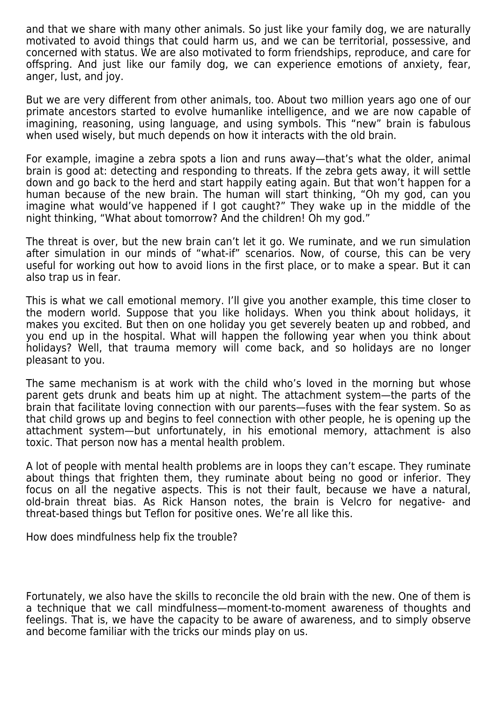and that we share with many other animals. So just like your family dog, we are naturally motivated to avoid things that could harm us, and we can be territorial, possessive, and concerned with status. We are also motivated to form friendships, reproduce, and care for offspring. And just like our family dog, we can experience emotions of anxiety, fear, anger, lust, and joy.

But we are very different from other animals, too. About two million years ago one of our primate ancestors started to evolve humanlike intelligence, and we are now capable of imagining, reasoning, using language, and using symbols. This "new" brain is fabulous when used wisely, but much depends on how it interacts with the old brain.

For example, imagine a zebra spots a lion and runs away—that's what the older, animal brain is good at: detecting and responding to threats. If the zebra gets away, it will settle down and go back to the herd and start happily eating again. But that won't happen for a human because of the new brain. The human will start thinking, "Oh my god, can you imagine what would've happened if I got caught?" They wake up in the middle of the night thinking, "What about tomorrow? And the children! Oh my god."

The threat is over, but the new brain can't let it go. We ruminate, and we run simulation after simulation in our minds of "what-if" scenarios. Now, of course, this can be very useful for working out how to avoid lions in the first place, or to make a spear. But it can also trap us in fear.

This is what we call emotional memory. I'll give you another example, this time closer to the modern world. Suppose that you like holidays. When you think about holidays, it makes you excited. But then on one holiday you get severely beaten up and robbed, and you end up in the hospital. What will happen the following year when you think about holidays? Well, that trauma memory will come back, and so holidays are no longer pleasant to you.

The same mechanism is at work with the child who's loved in the morning but whose parent gets drunk and beats him up at night. The attachment system—the parts of the brain that facilitate loving connection with our parents—fuses with the fear system. So as that child grows up and begins to feel connection with other people, he is opening up the attachment system—but unfortunately, in his emotional memory, attachment is also toxic. That person now has a mental health problem.

A lot of people with mental health problems are in loops they can't escape. They ruminate about things that frighten them, they ruminate about being no good or inferior. They focus on all the negative aspects. This is not their fault, because we have a natural, old-brain threat bias. As Rick Hanson notes, the brain is Velcro for negative- and threat-based things but Teflon for positive ones. We're all like this.

How does mindfulness help fix the trouble?

Fortunately, we also have the skills to reconcile the old brain with the new. One of them is a technique that we call mindfulness—moment-to-moment awareness of thoughts and feelings. That is, we have the capacity to be aware of awareness, and to simply observe and become familiar with the tricks our minds play on us.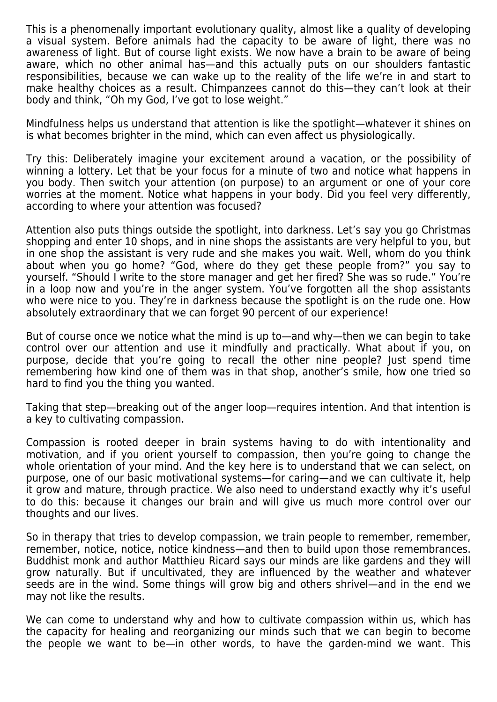This is a phenomenally important evolutionary quality, almost like a quality of developing a visual system. Before animals had the capacity to be aware of light, there was no awareness of light. But of course light exists. We now have a brain to be aware of being aware, which no other animal has—and this actually puts on our shoulders fantastic responsibilities, because we can wake up to the reality of the life we're in and start to make healthy choices as a result. Chimpanzees cannot do this—they can't look at their body and think, "Oh my God, I've got to lose weight."

Mindfulness helps us understand that attention is like the spotlight—whatever it shines on is what becomes brighter in the mind, which can even affect us physiologically.

Try this: Deliberately imagine your excitement around a vacation, or the possibility of winning a lottery. Let that be your focus for a minute of two and notice what happens in you body. Then switch your attention (on purpose) to an argument or one of your core worries at the moment. Notice what happens in your body. Did you feel very differently, according to where your attention was focused?

Attention also puts things outside the spotlight, into darkness. Let's say you go Christmas shopping and enter 10 shops, and in nine shops the assistants are very helpful to you, but in one shop the assistant is very rude and she makes you wait. Well, whom do you think about when you go home? "God, where do they get these people from?" you say to yourself. "Should I write to the store manager and get her fired? She was so rude." You're in a loop now and you're in the anger system. You've forgotten all the shop assistants who were nice to you. They're in darkness because the spotlight is on the rude one. How absolutely extraordinary that we can forget 90 percent of our experience!

But of course once we notice what the mind is up to—and why—then we can begin to take control over our attention and use it mindfully and practically. What about if you, on purpose, decide that you're going to recall the other nine people? Just spend time remembering how kind one of them was in that shop, another's smile, how one tried so hard to find you the thing you wanted.

Taking that step—breaking out of the anger loop—requires intention. And that intention is a key to cultivating compassion.

Compassion is rooted deeper in brain systems having to do with intentionality and motivation, and if you orient yourself to compassion, then you're going to change the whole orientation of your mind. And the key here is to understand that we can select, on purpose, one of our basic motivational systems—for caring—and we can cultivate it, help it grow and mature, through practice. We also need to understand exactly why it's useful to do this: because it changes our brain and will give us much more control over our thoughts and our lives.

So in therapy that tries to develop compassion, we train people to remember, remember, remember, notice, notice, notice kindness—and then to build upon those remembrances. Buddhist monk and author Matthieu Ricard says our minds are like gardens and they will grow naturally. But if uncultivated, they are influenced by the weather and whatever seeds are in the wind. Some things will grow big and others shrivel—and in the end we may not like the results.

We can come to understand why and how to cultivate compassion within us, which has the capacity for healing and reorganizing our minds such that we can begin to become the people we want to be—in other words, to have the garden-mind we want. This